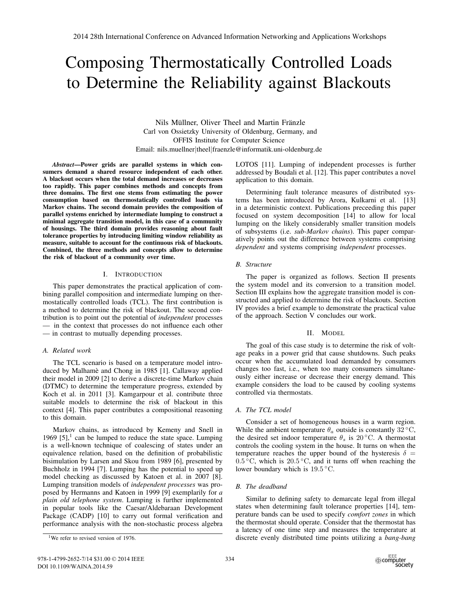# Composing Thermostatically Controlled Loads to Determine the Reliability against Blackouts

Nils Müllner, Oliver Theel and Martin Fränzle Carl von Ossietzky University of Oldenburg, Germany, and OFFIS Institute for Computer Science Email: nils.muellner|theel|fraenzle@informatik.uni-oldenburg.de

*Abstract*—Power grids are parallel systems in which consumers demand a shared resource independent of each other. A blackout occurs when the total demand increases or decreases too rapidly. This paper combines methods and concepts from three domains. The first one stems from estimating the power consumption based on thermostatically controlled loads via Markov chains. The second domain provides the composition of parallel systems enriched by intermediate lumping to construct a minimal aggregate transition model, in this case of a community of housings. The third domain provides reasoning about fault tolerance properties by introducing limiting window reliability as measure, suitable to account for the continuous risk of blackouts. Combined, the three methods and concepts allow to determine the risk of blackout of a community over time.

## I. INTRODUCTION

This paper demonstrates the practical application of combining parallel composition and intermediate lumping on thermostatically controlled loads (TCL). The first contribution is a method to determine the risk of blackout. The second contribution is to point out the potential of *independent* processes — in the context that processes do not influence each other — in contrast to mutually depending processes.

## *A. Related work*

The TCL scenario is based on a temperature model introduced by Malhamè and Chong in 1985 [1]. Callaway applied their model in 2009 [2] to derive a discrete-time Markov chain (DTMC) to determine the temperature progress, extended by Koch et al. in 2011 [3]. Kamgarpour et al. contribute three suitable models to determine the risk of blackout in this context [4]. This paper contributes a compositional reasoning to this domain.

Markov chains, as introduced by Kemeny and Snell in 1969  $[5]$ ,<sup>1</sup> can be lumped to reduce the state space. Lumping is a well-known technique of coalescing of states under an equivalence relation, based on the definition of probabilistic bisimulation by Larsen and Skou from 1989 [6], presented by Buchholz in 1994 [7]. Lumping has the potential to speed up model checking as discussed by Katoen et al. in 2007 [8]. Lumping transition models of *independent processes* was proposed by Hermanns and Katoen in 1999 [9] exemplarily for *a plain old telephone system*. Lumping is further implemented in popular tools like the Caesar/Aldebaraan Development Package (CADP) [10] to carry out formal verification and performance analysis with the non-stochastic process algebra

LOTOS [11]. Lumping of independent processes is further addressed by Boudali et al. [12]. This paper contributes a novel application to this domain.

Determining fault tolerance measures of distributed systems has been introduced by Arora, Kulkarni et al. [13] in a deterministic context. Publications preceeding this paper focused on system decomposition [14] to allow for local lumping on the likely considerably smaller transition models of subsystems (i.e. *sub-Markov chains*). This paper comparatively points out the difference between systems comprising *dependent* and systems comprising *independent* processes.

# *B. Structure*

The paper is organized as follows. Section II presents the system model and its conversion to a transition model. Section III explains how the aggregate transition model is constructed and applied to determine the risk of blackouts. Section IV provides a brief example to demonstrate the practical value of the approach. Section V concludes our work.

## II. MODEL

The goal of this case study is to determine the risk of voltage peaks in a power grid that cause shutdowns. Such peaks occur when the accumulated load demanded by consumers changes too fast, i.e., when too many consumers simultaneously either increase or decrease their energy demand. This example considers the load to be caused by cooling systems controlled via thermostats.

## *A. The TCL model*

Consider a set of homogeneous houses in a warm region. While the ambient temperature  $\theta_a$  outside is constantly 32 °C, the desired set indoor temperature  $\theta_s$  is 20 °C. A thermostat controls the cooling system in the house. It turns on when the temperature reaches the upper bound of the hysteresis  $\delta =$  $0.5\,^{\circ}\text{C}$ , which is  $20.5\,^{\circ}\text{C}$ , and it turns off when reaching the lower boundary which is <sup>19</sup>.<sup>5</sup> ◦C.

## *B. The deadband*

Similar to defining safety to demarcate legal from illegal states when determining fault tolerance properties [14], temperature bands can be used to specify *comfort zones* in which the thermostat should operate. Consider that the thermostat has a latency of one time step and measures the temperature at discrete evenly distributed time points utilizing a *bang-bang*

<sup>&</sup>lt;sup>1</sup>We refer to revised version of 1976.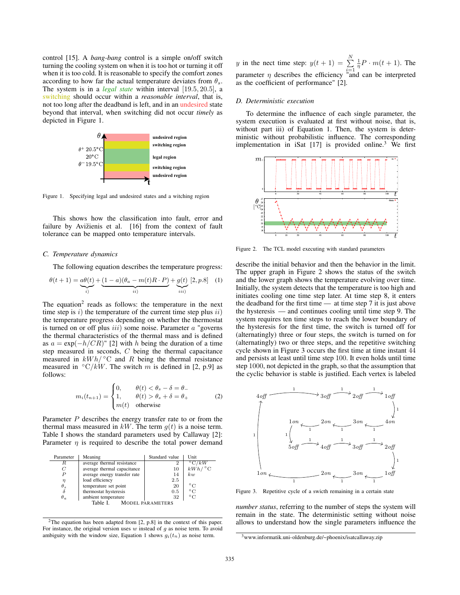control [15]. A *bang-bang* control is a simple on/off switch turning the cooling system on when it is too hot or turning it off when it is too cold. It is reasonable to specify the comfort zones according to how far the actual temperature deviates from  $\theta_s$ . The system is in a *legal state* within interval [19.5, <sup>20</sup>.5], a switching should occur within a *reasonable interval*, that is, not too long after the deadband is left, and in an undesired state beyond that interval, when switching did not occur *timely* as depicted in Figure 1.



Figure 1. Specifying legal and undesired states and a witching region

This shows how the classification into fault, error and failure by Avižienis et al. [16] from the context of fault tolerance can be mapped onto temperature intervals.

#### *C. Temperature dynamics*

The following equation describes the temperature progress:

$$
\theta(t+1) = \underbrace{a\theta(t)}_{i} + \underbrace{(1-a)(\theta_a - m(t)R \cdot P)}_{ii}) + \underbrace{g(t)}_{iii} [2, p.8] \quad (1)
$$

The equation<sup>2</sup> reads as follows: the temperature in the next time step is  $i)$  the temperature of the current time step plus  $ii)$ the temperature progress depending on whether the thermostat is turned on or off plus  $iii)$  some noise. Parameter  $a$  "governs the thermal characteristics of the thermal mass and is defined as  $a = \exp(-h/CR)$ " [2] with h being the duration of a time step measured in seconds, C being the thermal capacitance measured in  $kWh$   $\circ$ C and R being the thermal resistance measured in  $\mathcal{O}(kW)$ . The switch m is defined in [2, p.9] as follows:

$$
m_i(t_{n+1}) = \begin{cases} 0, & \theta(t) < \theta_s - \delta = \theta_- \\ 1, & \theta(t) > \theta_s + \delta = \theta_+ \\ m(t) & \text{otherwise} \end{cases}
$$
 (2)

Parameter P describes the energy transfer rate to or from the thermal mass measured in  $kW$ . The term  $g(t)$  is a noise term. Table I shows the standard parameters used by Callaway [2]: Parameter  $\eta$  is required to describe the total power demand

| Parameter        | Meaning                      | Standard value          | Unit                  |
|------------------|------------------------------|-------------------------|-----------------------|
| R                | average thermal resistance   |                         | $^{\circ}$ C/kW       |
| C                | average thermal capacitance  | 10                      | $kWh$ / $\degree$ C   |
| $\boldsymbol{P}$ | average energy transfer rate | 14                      | kw                    |
| $\eta$           | load efficiency              | 2.5                     |                       |
| $\theta_s$       | temperature set point        | 20                      | $^{\circ} \mathrm{C}$ |
| δ                | thermostat hysteresis        | 0.5                     | $\circ$ C             |
| $\theta_a$       | ambient temperature          | 32                      | $^{\circ}$ C          |
|                  | Table I                      | <b>MODEL PARAMETERS</b> |                       |

<sup>2</sup>The equation has been adapted from [2, p.8] in the context of this paper. For instance, the original version uses  $w$  instead of  $g$  as noise term. To avoid ambiguity with the window size, Equation 1 shows  $g_i(t_n)$  as noise term.

y in the nect time step:  $y(t + 1) = \sum_{i=1}^{N} \frac{1}{\eta} P \cdot m(t + 1)$ . The parameter  $\eta$  describes the efficiency "and can be interpreted<br>as the coefficient of performance" [2] as the coefficient of performance" [2].

#### *D. Deterministic execution*

To determine the influence of each single parameter, the system execution is evaluated at first without noise, that is, without part iii) of Equation 1. Then, the system is deterministic without probabilistic influence. The corresponding implementation in iSat  $[17]$  is provided online.<sup>3</sup> We first



Figure 2. The TCL model executing with standard parameters

describe the initial behavior and then the behavior in the limit. The upper graph in Figure 2 shows the status of the switch and the lower graph shows the temperature evolving over time. Initially, the system detects that the temperature is too high and initiates cooling one time step later. At time step 8, it enters the deadband for the first time — at time step 7 it is just above the hysteresis — and continues cooling until time step 9. The system requires ten time steps to reach the lower boundary of the hysteresis for the first time, the switch is turned off for (alternatingly) three or four steps, the switch is turned on for (alternatingly) two or three steps, and the repetitive switching cycle shown in Figure 3 occurs the first time at time instant 44 and persists at least until time step 100. It even holds until time step 1000, not depicted in the graph, so that the assumption that the cyclic behavior is stable is justified. Each vertex is labeled



Figure 3. Repetitive cycle of a swicth remaining in a certain state

*number status*, referring to the number of steps the system will remain in the state. The deterministic setting without noise allows to understand how the single parameters influence the

<sup>3</sup>www.informatik.uni-oldenburg.de/~phoenix/isatcallaway.zip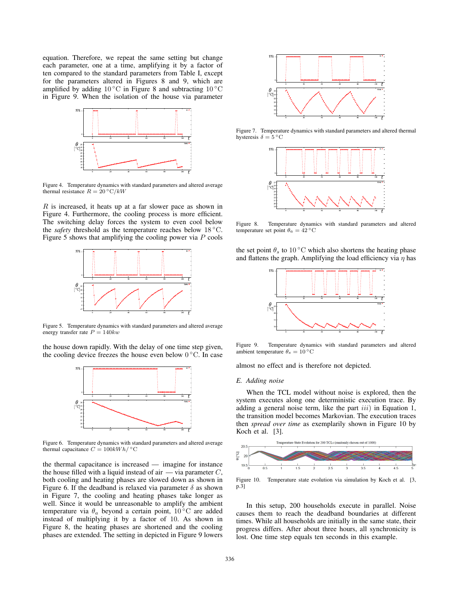equation. Therefore, we repeat the same setting but change each parameter, one at a time, amplifying it by a factor of ten compared to the standard parameters from Table I, except for the parameters altered in Figures 8 and 9, which are amplified by adding  $10\,^{\circ}\text{C}$  in Figure 8 and subtracting  $10\,^{\circ}\text{C}$ in Figure 9. When the isolation of the house via parameter



Figure 4. Temperature dynamics with standard parameters and altered average thermal resistance  $R = 20 °C/kW$ 

 $R$  is increased, it heats up at a far slower pace as shown in Figure 4. Furthermore, the cooling process is more efficient. The switching delay forces the system to even cool below the *safety* threshold as the temperature reaches below 18 ◦C. Figure 5 shows that amplifying the cooling power via  $P$  cools



Figure 5. Temperature dynamics with standard parameters and altered average energy transfer rate  $P = 140kw$ 

the house down rapidly. With the delay of one time step given, the cooling device freezes the house even below  $0^{\circ}$ C. In case



Figure 6. Temperature dynamics with standard parameters and altered average thermal capacitance  $C = 100kWh / °C$ 

the thermal capacitance is increased — imagine for instance the house filled with a liquid instead of air  $\overline{\phantom{a}}$  via parameter C, both cooling and heating phases are slowed down as shown in Figure 6. If the deadband is relaxed via parameter  $\delta$  as shown in Figure 7, the cooling and heating phases take longer as well. Since it would be unreasonable to amplify the ambient temperature via  $\theta_a$  beyond a certain point, 10 °C are added instead of multiplying it by a factor of 10. As shown in Figure 8, the heating phases are shortened and the cooling phases are extended. The setting in depicted in Figure 9 lowers



Figure 7. Temperature dynamics with standard parameters and altered thermal hysteresis  $\delta = 5^{\circ}$ C



Figure 8. Temperature dynamics with standard parameters and altered temperature set point  $\theta_a = 42 \degree C$ 

the set point  $\theta_s$  to 10 °C which also shortens the heating phase and flattens the graph. Amplifying the load efficiency via  $\eta$  has



Figure 9. Temperature dynamics with standard parameters and altered ambient temperature  $\theta_s = 10^\circ \text{C}$ 

almost no effect and is therefore not depicted.

#### *E. Adding noise*

When the TCL model without noise is explored, then the system executes along one deterministic execution trace. By adding a general noise term, like the part  $iii$ ) in Equation 1, the transition model becomes Markovian. The execution traces then *spread over time* as exemplarily shown in Figure 10 by Koch et al. [3].



Figure 10. Temperature state evolution via simulation by Koch et al. [3, p.3]

In this setup, 200 households execute in parallel. Noise causes them to reach the deadband boundaries at different times. While all households are initially in the same state, their progress differs. After about three hours, all synchronicity is lost. One time step equals ten seconds in this example.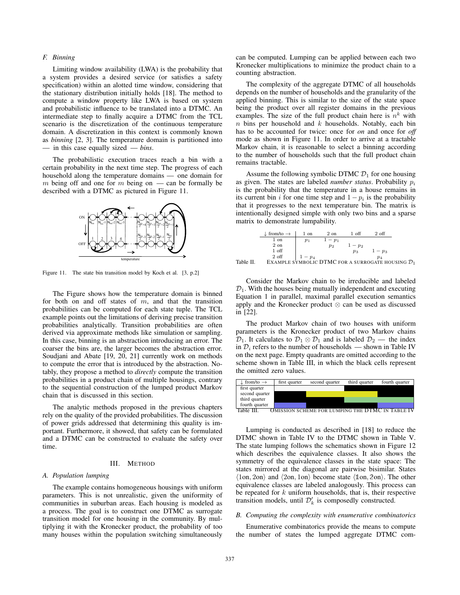## *F. Binning*

Limiting window availability (LWA) is the probability that a system provides a desired service (or satisfies a safety specification) within an alotted time window, considering that the stationary distribution initially holds [18]. The method to compute a window property like LWA is based on system and probabilistic influence to be translated into a DTMC. An intermediate step to finally acquire a DTMC from the TCL scenario is the discretization of the continuous temperature domain. A discretization in this context is commonly known as *binning* [2, 3]. The temperature domain is partitioned into — in this case equally sized — *bins*.

The probabilistic execution traces reach a bin with a certain probability in the next time step. The progress of each household along the temperature domains — one domain for m being off and one for m being on — can be formally be described with a DTMC as pictured in Figure 11.



Figure 11. The state bin transition model by Koch et al. [3, p.2]

The Figure shows how the temperature domain is binned for both on and off states of  $m$ , and that the transition probabilities can be computed for each state tuple. The TCL example points out the limitations of deriving precise transition probabilities analytically. Transition probabilities are often derived via approximate methods like simulation or sampling. In this case, binning is an abstraction introducing an error. The coarser the bins are, the larger becomes the abstraction error. Soudjani and Abate [19, 20, 21] currently work on methods to compute the error that is introduced by the abstraction. Notably, they propose a method to *directly* compute the transition probabilities in a product chain of multiple housings, contrary to the sequential construction of the lumped product Markov chain that is discussed in this section.

The analytic methods proposed in the previous chapters rely on the quality of the provided probabilities. The discussion of power grids addressed that determining this quality is important. Furthermore, it showed, that safety can be formulated and a DTMC can be constructed to evaluate the safety over time.

#### III. METHOD

#### *A. Population lumping*

The example contains homogeneous housings with uniform parameters. This is not unrealistic, given the uniformity of communities in suburban areas. Each housing is modeled as a process. The goal is to construct one DTMC as surrogate transition model for one housing in the community. By multiplying it with the Kronecker product, the probability of too many houses within the population switching simultaneously can be computed. Lumping can be applied between each two Kronecker multiplications to minimize the product chain to a counting abstraction.

The complexity of the aggregate DTMC of all households depends on the number of households and the granularity of the applied binning. This is similar to the size of the state space being the product over all register domains in the previous examples. The size of the full product chain here is  $n^k$  with  $n$  bins per household and  $k$  households. Notably, each bin has to be accounted for twice: once for *on* and once for *off* mode as shown in Figure 11. In order to arrive at a tractable Markov chain, it is reasonable to select a binning according to the number of households such that the full product chain remains tractable.

Assume the following symbolic DTMC  $\mathcal{D}_1$  for one housing as given. The states are labeled *number status*. Probability  $p_i$ is the probability that the temperature in a house remains in its current bin i for one time step and  $1-p_i$  is the probability that it progresses to the next temperature bin. The matrix is intentionally designed simple with only two bins and a sparse matrix to demonstrate lumpability.

|           | $\downarrow$ from/to $\rightarrow$                            | 1 on    | 2 on           | 1 off   | $2 \text{ off}$ |  |
|-----------|---------------------------------------------------------------|---------|----------------|---------|-----------------|--|
|           | 1 on                                                          | $p_1$   | $1-p_1$        |         |                 |  |
|           | 2 on                                                          |         | p <sub>2</sub> | $1-p_2$ |                 |  |
|           | 1 off                                                         |         |                | $p_3$   | $1-p_3$         |  |
|           | 2 off                                                         | $1-p_4$ |                |         | $p_4$           |  |
| Table II. | EXAMPLE SYMBOLIC DTMC FOR A SURROGATE HOUSING $\mathcal{D}_1$ |         |                |         |                 |  |
|           |                                                               |         |                |         |                 |  |

Consider the Markov chain to be irreducible and labeled  $\mathcal{D}_1$ . With the houses being mutually independent and executing Equation 1 in parallel, maximal parallel execution semantics apply and the Kronecker product ⊗ can be used as discussed in [22].

The product Markov chain of two houses with uniform parameters is the Kronecker product of two Markov chains  $\mathcal{D}_1$ . It calculates to  $\mathcal{D}_1 \otimes \mathcal{D}_1$  and is labeled  $\mathcal{D}_2$  — the index in  $\mathcal{D}_i$  refers to the number of households — shown in Table IV on the next page. Empty quadrants are omitted according to the scheme shown in Table III, in which the black cells represent the omitted zero values.



Lumping is conducted as described in [18] to reduce the DTMC shown in Table IV to the DTMC shown in Table V. The state lumping follows the schematics shown in Figure 12 which describes the equivalence classes. It also shows the symmetry of the equivalence classes in the state space: The states mirrored at the diagonal are pairwise bisimilar. States  $\langle 1$ on, 2on $\rangle$  and  $\langle 2$ on, 1on $\rangle$  become state  $\langle 1$ on, 2on $\rangle$ . The other equivalence classes are labeled analogously. This process can equivalence classes are labeled analogously. This process can be repeated for  $k$  uniform households, that is, their respective transition models, until  $\mathcal{D}'_k$  is composedly constructed.

# *B. Computing the complexity with enumerative combinatorics*

Enumerative combinatorics provide the means to compute the number of states the lumped aggregate DTMC com-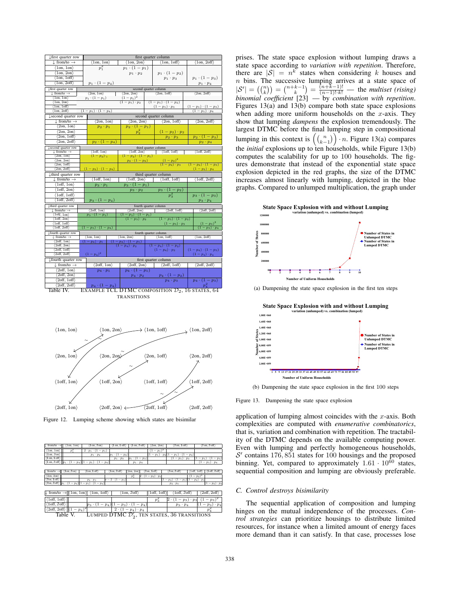| ↓ first quarter row<br>first quarter column                                                                                                                     |                                                |  |  |  |  |  |
|-----------------------------------------------------------------------------------------------------------------------------------------------------------------|------------------------------------------------|--|--|--|--|--|
| $\downarrow$ from/to $\rightarrow$<br>$\frac{\langle 1on, 1on \rangle}{p_1^2}$<br>$\langle 1on, 2on \rangle$<br>$\langle 1on, 1off \rangle$                     | $\langle 1on, 2off \rangle$                    |  |  |  |  |  |
| $\langle 1on, 1on \rangle$<br>$p_1 \cdot (1-p_1)$                                                                                                               |                                                |  |  |  |  |  |
| $\langle 1on, 2on \rangle$<br>$p_1 \cdot (1-p_2)$<br>$p_1 \cdot p_2$                                                                                            |                                                |  |  |  |  |  |
| $\langle$ 10n, 10ff $\rangle$<br>$p_1 \cdot p_3$                                                                                                                | $p_1 \cdot (1-p_3)$                            |  |  |  |  |  |
| $p_1 \cdot (1-p_4)$<br>$\langle 1on, 2off \rangle$                                                                                                              |                                                |  |  |  |  |  |
|                                                                                                                                                                 | $p_1 \cdot p_4$                                |  |  |  |  |  |
| second quarter column<br>Lfirst quarter row                                                                                                                     |                                                |  |  |  |  |  |
| $\downarrow$ from/to $\rightarrow$<br>$\langle 2on, 1on \rangle$<br>$\langle 2on, 2on \rangle$<br>$\langle 2on, 1off \rangle$                                   | $\langle 2on, 2off \rangle$                    |  |  |  |  |  |
| $(1-p_1)^2$<br>$p_1 \cdot (1-p_1)$<br>$\langle 1on, 1on \rangle$                                                                                                |                                                |  |  |  |  |  |
| $(1-p_1)\cdot p_2$<br>$\langle 1on, 2on \rangle$<br>$\frac{(1-p_1)\cdot(1-p_2)}{(1-p_1)\cdot p_3}$<br>(1on, 1off)                                               |                                                |  |  |  |  |  |
| (1on, 2off)<br>$(1-p_1) \cdot (1-p_4)$                                                                                                                          | $\frac{(1-p_1)\cdot(1-p_3)}{(1-p_1)\cdot p_4}$ |  |  |  |  |  |
|                                                                                                                                                                 |                                                |  |  |  |  |  |
| second quarter column<br><b>L</b> second quarter row                                                                                                            |                                                |  |  |  |  |  |
| $\downarrow$ from/to $\rightarrow$<br>$\langle 2on, 1on \rangle$<br>$\langle 2on, 2on \rangle$<br>$\langle 2on, 1off \rangle$                                   | $\langle 2on, 2off \rangle$                    |  |  |  |  |  |
| $\langle 2on, 1on \rangle$<br>$p_2 \cdot (1-p_1)$<br>$p_2 \cdot p_1$                                                                                            |                                                |  |  |  |  |  |
| $\langle 2on, 2on \rangle$<br>$p_2^2$<br>$(1-p_2)\cdot p_2$                                                                                                     |                                                |  |  |  |  |  |
| $\langle 2on, 1off \rangle$<br>$p_2 \cdot p_3$                                                                                                                  | $p_2 \cdot (1-p_3)$                            |  |  |  |  |  |
| $\langle 2on, 2off \rangle$<br>$p_2 \cdot (1-p_4)$                                                                                                              | $p_2 \cdot p_4$                                |  |  |  |  |  |
| second quarter row<br>third quarter column                                                                                                                      |                                                |  |  |  |  |  |
| $\langle$ 1off, 2on $\rangle$<br>$\langle$ loff, loff $\rangle$<br>$\downarrow$ from/to $\rightarrow$<br>$\langle$ loff, lon $\rangle$                          | $\langle$ 1off, 2off $\rangle$                 |  |  |  |  |  |
| $(1-p_2)_{1}$<br>$(1-p_2) \cdot (1-p_1)$<br>(2on, 1on)                                                                                                          |                                                |  |  |  |  |  |
| $(1-p_2)^2$<br>$p_2 \cdot (1-p_2)$<br>(2on, 2on)                                                                                                                |                                                |  |  |  |  |  |
| $(1-p_2)\cdot p_3$<br>(2on.1off)                                                                                                                                | $(1-p_2) \cdot (1-p_3)$                        |  |  |  |  |  |
| (2on, 2off)<br>$(1-p_2) \cdot (1-p_4)$                                                                                                                          | $(1-p_2) \cdot p_4$                            |  |  |  |  |  |
| third quarter row                                                                                                                                               | third quarter column                           |  |  |  |  |  |
| $\langle 1off, 1on \rangle$<br>$\langle 1off, 2on \rangle$<br>$\langle 1off, 1off \rangle$<br>$\downarrow$ from/to $\rightarrow$                                | $\langle 1off, 2off \rangle$                   |  |  |  |  |  |
| $\langle$ 10ff, 10n $\rangle$<br>$p_3 \cdot (1-p_1)$<br>$p_3 \cdot p_1$                                                                                         |                                                |  |  |  |  |  |
| $\langle 1off, 2on \rangle$<br>$p_3 \cdot p_2$                                                                                                                  |                                                |  |  |  |  |  |
| $\frac{p_3\cdot (1-p_2)}{p_3^2}$<br>$\langle 1$ off, $1$ off $\rangle$                                                                                          | $p_3 \cdot (1-p_3)$                            |  |  |  |  |  |
| $\langle 1off, 2off \rangle$<br>$p_3 \cdot (1-p_4)$                                                                                                             | $p_3 \cdot p_4$                                |  |  |  |  |  |
| third quarter row<br>fourth quarter column                                                                                                                      |                                                |  |  |  |  |  |
| $\langle 2off, 1on \rangle$<br>$\langle 2off, 2on \rangle$<br>$\langle 2off, 1off \rangle$<br>$\downarrow$ from/to $\rightarrow$                                | $\langle 2off, 2off \rangle$                   |  |  |  |  |  |
| $\langle$ 1off, 1on $\rangle$<br>$p_3 \cdot (1-p_1)$<br>$(1-p_3)\cdot(1-p_1)$                                                                                   |                                                |  |  |  |  |  |
| $\langle$ 1off, 2on)<br>$(1-p_3)\cdot p_2$                                                                                                                      |                                                |  |  |  |  |  |
| $\frac{(1-p_3)\cdot(1-p_2)}{(1-p_3)\cdot p_3}$<br>$\langle 1off, 1off \rangle$                                                                                  | $(1-p_3)^2$                                    |  |  |  |  |  |
| $\langle 1off, 2off \rangle$<br>$(1-p_3)\cdot(1-p_4)$                                                                                                           | $(1-p_3)\cdot p_4$                             |  |  |  |  |  |
| fourth quarter column<br>. fourth quarter row                                                                                                                   |                                                |  |  |  |  |  |
| $\perp$ from/to $\rightarrow$<br>$\langle$ 1on, 2on $\rangle$<br>$\langle$ 100, 10ff $\rangle$<br>$\frac{\langle \text{lon, lon} \rangle}{(1 - p_4) \cdot p_1}$ | $\langle 1on, 2off \rangle$                    |  |  |  |  |  |
| $(1-p_4) \cdot (1-p_1)$<br>2off, 1on                                                                                                                            |                                                |  |  |  |  |  |
| (2off, 2on)<br>$(1-p_4)\cdot p_2$<br>$(1-p_4) \cdot (1-p_2)$                                                                                                    |                                                |  |  |  |  |  |
| (2off.1off)                                                                                                                                                     | $(1-p_4) \cdot (1-p_3)$<br>$(1-p_4)\cdot p_3$  |  |  |  |  |  |
| $(1-p_4)^2$<br>(2off, 2off)<br>$(1-p_4)\cdot p_4$                                                                                                               |                                                |  |  |  |  |  |
| ↓ fourth quarter row<br>first quarter column                                                                                                                    |                                                |  |  |  |  |  |
| $\langle 2off, 2on \rangle$<br>$\downarrow$ from/to $\rightarrow$<br>$\langle 2off, 1on \rangle$<br>$\langle 2off, 1off \rangle$                                | $\langle 2off, 2off \rangle$                   |  |  |  |  |  |
| $\langle 2off, 1on \rangle$<br>$p_4 \cdot (1-p_1)$<br>$p_4 \cdot p_1$                                                                                           |                                                |  |  |  |  |  |
| $\langle 2off, 2on \rangle$<br>$p_4 \cdot (1-p_2)$<br>$p_4 \cdot p_2$                                                                                           |                                                |  |  |  |  |  |
|                                                                                                                                                                 |                                                |  |  |  |  |  |
| 2off, 1off<br>$p_4 \cdot p_3$                                                                                                                                   | $p_4 \cdot (1-p_3)$                            |  |  |  |  |  |

 $\begin{array}{c|c|c|c}\n\hline\n\langle 2\text{off}, 2\text{off}, 2\end{array}$  **p<sub>4</sub>** · (1 − p<sub>4</sub>) **p**<sub>4</sub> **p**<sub>4</sub> **p**<sub>4</sub> **p**<sub>4</sub> **p**<sub>4</sub> **p**<sub>4</sub> **p**<sub>4</sub> **p**<sub>4</sub> **p**<sub>4</sub> **p**<sub>4</sub> **p**<sub>4</sub> **p**<sub>4</sub> **p**<sub>4</sub> **p**<sub>4</sub> **p**<sub>4</sub> **p**<sub>4</sub> **p**<sub>4</sub> **p**<sub>4</sub> **p**<sub>4</sub> **p**<sub>4</sub> **p**<sub>4</sub> **p**<sub>4</sub> **p** TRANSITIONS



Figure 12. Lumping scheme showing which states are bisimilar

| 1on, 1on<br>$\downarrow$ from/to $\rightarrow$                                          | 10n, 20n                    | lon, loff)                 | $1$ on, $2$ off $\rangle$   | (2on, 2on)                           | 2on, 1off                                | 2on, 2off)                                         |
|-----------------------------------------------------------------------------------------|-----------------------------|----------------------------|-----------------------------|--------------------------------------|------------------------------------------|----------------------------------------------------|
|                                                                                         |                             |                            |                             |                                      |                                          |                                                    |
| (1on, 1on)<br>p,                                                                        | $2 \cdot p_1 \cdot (1-p_1)$ |                            |                             | $(1-p_1)^2$                          |                                          |                                                    |
| $\langle$ 1on, 2on $\rangle$                                                            | $p_1 \cdot p_2$             | (1)<br>$-p_2$<br>$p_1$ .   |                             | $-p_1$<br>$\cdot$ p <sub>2</sub> $($ | $-p_2$ )<br>$-p_1$<br>11<br>٠            |                                                    |
| '1on, 1off)                                                                             |                             | $p_1 \cdot p_3$            | $p_1 \cdot (1-p_3)$         |                                      | $(1-p_1)\cdot p_3$                       | $(1-p_1)$<br>$(1-p_3)$                             |
| $\langle 1on, 2off \rangle$ $\ p_1 \cdot (1 - p_4)\  \cdot (1 - p_1) \cdot (1 - p_4)\ $ |                             |                            | $p_1 \cdot p_4$             |                                      |                                          | $(1-p_1)\cdot p_4$                                 |
|                                                                                         |                             |                            |                             |                                      |                                          |                                                    |
| $\downarrow$ from/to $\rightarrow$<br>llon, 2on                                         | lon, loff                   | $1$ lon, $2$ off $\rangle$ | $\langle 2on, 2on \rangle$  | 2on, 1off)                           | 2on, 2off                                | $1$ off, $2$ off $\rangle$<br>$\langle$ 10ff, 10ff |
| (2on, 2on)                                                                              |                             |                            | $p_2^2$                     | $(1-p_2) \cdot p_2$                  |                                          | $(1-p_2)^2$                                        |
| $\langle 2on, 1off \rangle$                                                             | $p_2 \cdot p_3$             | $p-2\cdot(1-p_3)$          |                             |                                      | $(1-p_2) \cdot (1-p_3)(1-p_2) \cdot p_3$ |                                                    |
| $\langle 2on, 2off \rangle$ $\ p_1 \cdot (1-p_4)\  (1-p_1) \cdot (1-p_4)$               |                             |                            |                             |                                      | $p_2 \cdot p_4$                          | $(1-p_2) \cdot p_4$                                |
|                                                                                         |                             |                            |                             |                                      |                                          |                                                    |
| $\downarrow$ from/to $\rightarrow$ (1on, 1on)                                           | (1on, 1off)                 |                            | $'1$ on, $2$ off $'$        | $\langle 1$ off, $1$ off             | '1off, 2off                              | $\langle 2off, 2off \rangle$                       |
| $\langle$ 10ff, 10ff $\rangle$                                                          |                             |                            |                             | $p_3^2$                              | 2<br>$p_3) \cdot p_3$<br>-               | $-p_3$ )                                           |
| $1$ off, 2off $\rangle$                                                                 | $(1-p_4)(1$<br>$p_3$        | $p_3$ )                    | $1-p_4$                     |                                      | $p_3 \cdot p_4$                          | $\cdot p_4$<br>$p_3)$                              |
| $\langle 2off, 2off \rangle$<br>$ (1-p_4)^2 $                                           |                             |                            | $2 \cdot (1-p_4) \cdot p_4$ |                                      |                                          | $p_4^*$                                            |
| LUMPED DTMC $\mathcal{D}'_2$ , ten states, 36 transitions<br>Table V.                   |                             |                            |                             |                                      |                                          |                                                    |
|                                                                                         |                             |                            |                             |                                      |                                          |                                                    |

prises. The state space explosion without lumping draws a state space according to *variation with repetition*. Therefore, there are  $|S| = n^k$  states when considering k houses and n bins. The successive lumping arrives at a state space of *n* bins. The successive lumping arrives at a state space of  $|S'| = \binom{n}{k} = \binom{n+k-1}{k} = \frac{(n+k-1)!}{(n-1)! \cdot k!}$  — the *multiset (rising) binomial coefficient* [23] — by *combination with repetition*. Figures 13(a) and 13(b) compare both state space explosions when adding more uniform households on the  $x$ -axis. They show that lumping *dampens* the explosion tremendously. The largest DTMC before the final lumping step in compositional lumping in this context is  $\binom{n}{k-1} \cdot n$ . Figure 13(a) compares<br>the initial explosions up to tap households, while Figure 13(b) the *initial* explosions up to ten households, while Figure 13(b) computes the scalability for up to 100 households. The figures demonstrate that instead of the exponential state space explosion depicted in the red graphs, the size of the DTMC increases almost linearly with lumping, depicted in the blue graphs. Compared to unlumped multiplication, the graph under



(a) Dampening the state space explosion in the first ten steps

**1 13 5 9 17 21 25 29 33 37 41 45 49 53 57 61 65 69 73 77 81 85 89 93 97 <sup>0</sup> 2,00E+059 4,00E+059 6,00E+059 8,00E+059 1,00E+060 1,20E+060 1,40E+060 1,60E+060 1,80E+060 State Space Explosion with and without Lumping variation (unlumped) vs. combination (lumped) Number of States in Unlumped DTMC Number of States in Lumped DTMC Number of Uniform Households Number of States**

(b) Dampening the state space explosion in the first 100 steps

Figure 13. Dampening the state space explosion

application of lumping almost coincides with the  $x$ -axis. Both complexities are computed with *enumerative combinatorics*, that is, variation and combination with repetition. The tractability of the DTMC depends on the available computing power. Even with lumping and perfectly homogeneous households,  $S'$  contains 176, 851 states for 100 housings and the proposed binning. Yet, compared to approximately  $1.61 \cdot 10^{60}$  states, sequential composition and lumping are obviously preferable.

#### *C. Control destroys bisimilarity*

The sequential application of composition and lumping hinges on the mutual independence of the processes. *Control strategies* can prioritize housings to distribute limited resources, for instance when a limited amount of energy faces more demand than it can satisfy. In that case, processes lose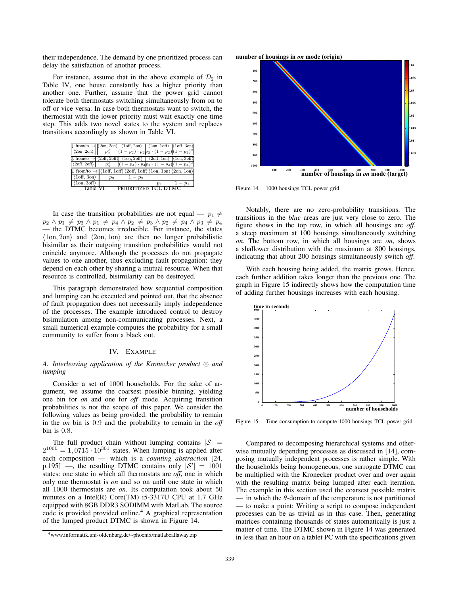their independence. The demand by one prioritized process can delay the satisfaction of another process.

For instance, assume that in the above example of  $\mathcal{D}_2$  in Table IV, one house constantly has a higher priority than another one. Further, assume that the power grid cannot tolerate both thermostats switching simultaneously from on to off or vice versa. In case both thermostats want to switch, the thermostat with the lower priority must wait exactly one time step. This adds two novel states to the system and replaces transitions accordingly as shown in Table VI.

| $\downarrow$ from/to $\rightarrow$ $ \langle 2on, 2on \rangle $ $\langle 1off, 2on \rangle$ $\langle 2on, 1off \rangle$ $ \langle 1off, 3on \rangle$             |          |         |                      |         |
|------------------------------------------------------------------------------------------------------------------------------------------------------------------|----------|---------|----------------------|---------|
| $ \langle 20n, 20n \rangle $ $p_2^2$ $ (1-p_2) \cdot p_2 p_2 \cdot (1-p_2)  (1-p_2)^2$                                                                           |          |         |                      |         |
| $\downarrow$ from/to $\rightarrow$ $ \langle 2off, 2off \rangle $ $\langle 1on, 2off \rangle$ $\langle 2off, 1on \rangle$ $ \langle 1on, 3off \rangle$           |          |         |                      |         |
| $ \langle 2\text{off}, 2\text{off} \rangle $ $p_4^2$ $ (1-p_4) \cdot p_4 p_4 \cdot (1-p_4)  (1-p_4)^2$                                                           |          |         |                      |         |
| $\downarrow$ from/to $\rightarrow$ $ \langle 1$ off, 1 off $\rangle  \langle 2$ off, 1 off $\rangle  \langle 1$ on, 1 on $\rangle  \langle 2$ on, 1 on $\rangle$ |          |         |                      |         |
| $\langle 1 \text{off}, 3 \text{on} \rangle$                                                                                                                      | $p_3$    | $1-p_3$ |                      |         |
| $\langle 1on, 3off \rangle$                                                                                                                                      |          |         | $p_1$                | $1-p_1$ |
|                                                                                                                                                                  | Table VI |         | PRIORITIZED TCL DTMC |         |

In case the transition probabilities are not equal —  $p_1 \neq$  $p_2 \wedge p_1 \neq p_3 \wedge p_1 \neq p_4 \wedge p_2 \neq p_3 \wedge p_2 \neq p_4 \wedge p_3 \neq p_4$ — the DTMC becomes irreducible. For instance, the states  $\langle 1on, 2on \rangle$  and  $\langle 2on, 1on \rangle$  are then no longer probabilistic bisimilar as their outgoing transition probabilities would not coincide anymore. Although the processes do not propagate values to one another, thus excluding fault propagation: they depend on each other by sharing a mutual resource. When that resource is controlled, bisimilarity can be destroyed.

This paragraph demonstrated how sequential composition and lumping can be executed and pointed out, that the absence of fault propagation does not necessarily imply independence of the processes. The example introduced control to destroy bisimulation among non-communicating processes. Next, a small numerical example computes the probability for a small community to suffer from a black out.

# IV. EXAMPLE

## *A. Interleaving application of the Kronecker product* ⊗ *and lumping*

Consider a set of 1000 households. For the sake of argument, we assume the coarsest possible binning, yielding one bin for *on* and one for *off* mode. Acquiring transition probabilities is not the scope of this paper. We consider the following values as being provided: the probability to remain in the *on* bin is <sup>0</sup>.<sup>9</sup> and the probability to remain in the *off* bin is <sup>0</sup>.8.

The full product chain without lumping contains  $|S|$  =  $2^{1000} = 1,0715 \cdot 10^{301}$  states. When lumping is applied after each composition — which is a *counting abstraction* [24, p.195] —, the resulting DTMC contains only  $|S'| = 1001$ states: one state in which all thermostats are *off*, one in which only one thermostat is *on* and so on until one state in which all 1000 thermostats are *on*. Its computation took about 50 minutes on a Intel(R) Core(TM) i5-3317U CPU at 1.7 GHz equipped with 8GB DDR3 SODIMM with MatLab. The source code is provided provided online.<sup>4</sup> A graphical representation of the lumped product DTMC is shown in Figure 14.



Figure 14. 1000 housings TCL power grid

Notably, there are no zero-probability transitions. The transitions in the *blue* areas are just very close to zero. The figure shows in the top row, in which all housings are *off*, a steep maximum at 100 housings simultaneously switching *on*. The bottom row, in which all housings are *on*, shows a shallower distribution with the maximum at 800 housings, indicating that about 200 housings simultaneously switch *off*.

With each housing being added, the matrix grows. Hence, each further addition takes longer than the previous one. The graph in Figure 15 indirectly shows how the computation time of adding further housings increases with each housing.



Figure 15. Time consumption to compute 1000 housings TCL power grid

Compared to decomposing hierarchical systems and otherwise mutually depending processes as discussed in [14], composing mutually independent processes is rather simple. With the households being homogeneous, one surrogate DTMC can be multiplied with the Kronecker product over and over again with the resulting matrix being lumped after each iteration. The example in this section used the coarsest possible matrix — in which the  $\theta$ -domain of the temperature is not partitioned — to make a point: Writing a script to compose independent processes can be as trivial as in this case. Then, generating matrices containing thousands of states automatically is just a matter of time. The DTMC shown in Figure 14 was generated in less than an hour on a tablet PC with the specifications given

<sup>4</sup>www.informatik.uni-oldenburg.de/~phoenix/matlabcallaway.zip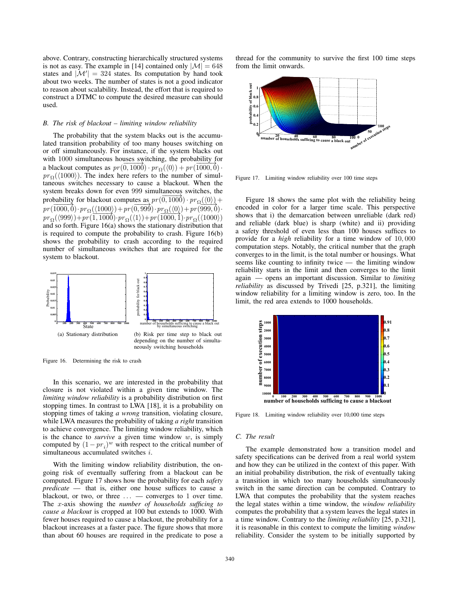above. Contrary, constructing hierarchically structured systems is not as easy. The example in [14] contained only  $|\mathcal{M}| = 648$ states and  $|M'| = 324$  states. Its computation by hand took about two weeks. The number of states is not a good indicator to reason about scalability. Instead, the effort that is required to construct a DTMC to compute the desired measure can should used.

## *B. The risk of blackout – limiting window reliability*

The probability that the system blacks out is the accumulated transition probability of too many houses switching on or off simultaneously. For instance, if the system blacks out with 1000 simultaneous houses switching, the probability for a blackout computes as  $pr(\overline{0,1000}) \cdot pr_{\Omega}(\langle 0 \rangle) + pr(\overline{1000,0}) \cdot pr_{\Omega}(\langle 1000 \rangle)$ . The index here refers to the number of simul $pr_{\Omega}(\langle 1000 \rangle)$ . The index here refers to the number of simultaneous switches necessary to cause a blackout. When the system breaks down for even 999 simultaneous switches, the probability for blackout computes as  $pr(\overline{0,1000}) \cdot pr_{\Omega}(\langle 0 \rangle) +$ <br> $pr(\overline{1000,0}) \cdot pr_{\Omega}(\langle 1000 \rangle) + pr(\overline{0,000}) \cdot pr_{\Omega}(\langle 0 \rangle) + pr(\overline{000,0})$  $pr(\overline{1000, 0}) \cdot pr_{\Omega}(\langle 1000 \rangle) + pr(\overline{0,999}) \cdot pr_{\Omega}(\langle 0 \rangle) + pr(\overline{999, 0}) \cdot$  $pr_{\Omega}(\langle 999 \rangle) + pr(1, 1000) \cdot pr_{\Omega}(\langle 1 \rangle) + pr(1000, 1) \cdot pr_{\Omega}(\langle 1000 \rangle)$ <br>and so forth Figure 16(a) shows the stationary distribution that and so forth. Figure 16(a) shows the stationary distribution that is required to compute the probability to crash. Figure 16(b) shows the probability to crash according to the required number of simultaneous switches that are required for the system to blackout.



Figure 16. Determining the risk to crash

In this scenario, we are interested in the probability that closure is not violated within a given time window. The *limiting window reliability* is a probability distribution on first stopping times. In contrast to LWA [18], it is a probability on stopping times of taking *a wrong* transition, violating closure, while LWA measures the probability of taking *a right* transition to achieve convergence. The limiting window reliability, which is the chance to *survive* a given time window w, is simply computed by  $(1 - pr_i)^w$  with respect to the critical number of simultaneous accumulated switches i.

With the limiting window reliability distribution, the ongoing risk of eventually suffering from a blackout can be computed. Figure 17 shows how the probability for each *safety predicate* — that is, either one house suffices to cause a blackout, or two, or three ... — converges to <sup>1</sup> over time. The x-axis showing the *number of households sufficing to cause a blackout* is cropped at 100 but extends to 1000. With fewer houses required to cause a blackout, the probability for a blackout increases at a faster pace. The figure shows that more than about 60 houses are required in the predicate to pose a thread for the community to survive the first 100 time steps from the limit onwards.



Figure 17. Limiting window reliability over 100 time steps

Figure 18 shows the same plot with the reliability being encoded in color for a larger time scale. This perspective shows that i) the demarcation between unreliable (dark red) and reliable (dark blue) is sharp (white) and ii) providing a safety threshold of even less than 100 houses suffices to provide for a *high* reliability for a time window of <sup>10</sup>, <sup>000</sup> computation steps. Notably, the critical number that the graph converges to in the limit, is the total number or housings. What seems like counting to infinity twice — the limiting window reliability starts in the limit and then converges to the limit again — opens an important discussion. Similar to *limiting reliability* as discussed by Trivedi [25, p.321], the limiting window reliability for a limiting window is zero, too. In the limit, the red area extends to 1000 households.



Figure 18. Limiting window reliability over 10,000 time steps

#### *C. The result*

The example demonstrated how a transition model and safety specifications can be derived from a real world system and how they can be utilized in the context of this paper. With an initial probability distribution, the risk of eventually taking a transition in which too many households simultaneously switch in the same direction can be computed. Contrary to LWA that computes the probability that the system reaches the legal states within a time window, the *window reliability* computes the probability that a system leaves the legal states in a time window. Contrary to the *limiting reliability* [25, p.321], it is reasonable in this context to compute the limiting *window* reliability. Consider the system to be initially supported by